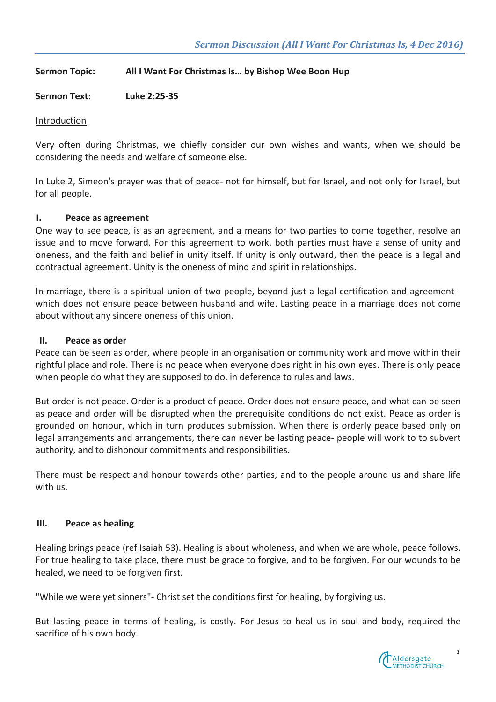# **Sermon Topic: All I Want For Christmas Is... by Bishop Wee Boon Hup**

# Sermon Text: Luke 2:25-35

## Introduction

Very often during Christmas, we chiefly consider our own wishes and wants, when we should be considering the needs and welfare of someone else.

In Luke 2, Simeon's prayer was that of peace- not for himself, but for Israel, and not only for Israel, but for all people.

## **I.** Peace as agreement

One way to see peace, is as an agreement, and a means for two parties to come together, resolve an issue and to move forward. For this agreement to work, both parties must have a sense of unity and oneness, and the faith and belief in unity itself. If unity is only outward, then the peace is a legal and contractual agreement. Unity is the oneness of mind and spirit in relationships.

In marriage, there is a spiritual union of two people, beyond just a legal certification and agreement which does not ensure peace between husband and wife. Lasting peace in a marriage does not come about without any sincere oneness of this union.

#### **II. Peace as order**

Peace can be seen as order, where people in an organisation or community work and move within their rightful place and role. There is no peace when everyone does right in his own eyes. There is only peace when people do what they are supposed to do, in deference to rules and laws.

But order is not peace. Order is a product of peace. Order does not ensure peace, and what can be seen as peace and order will be disrupted when the prerequisite conditions do not exist. Peace as order is grounded on honour, which in turn produces submission. When there is orderly peace based only on legal arrangements and arrangements, there can never be lasting peace- people will work to to subvert authority, and to dishonour commitments and responsibilities.

There must be respect and honour towards other parties, and to the people around us and share life with us.

#### **III.** Peace as healing

Healing brings peace (ref Isaiah 53). Healing is about wholeness, and when we are whole, peace follows. For true healing to take place, there must be grace to forgive, and to be forgiven. For our wounds to be healed, we need to be forgiven first.

"While we were yet sinners"- Christ set the conditions first for healing, by forgiving us.

But lasting peace in terms of healing, is costly. For Jesus to heal us in soul and body, required the sacrifice of his own body.